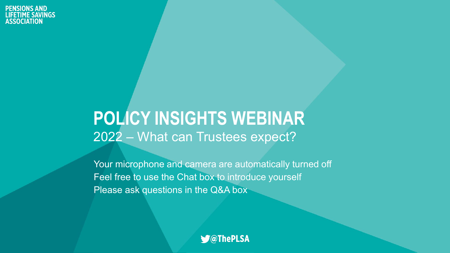#### **POLICY INSIGHTS WEBINAR** 2022 – What can Trustees expect?

Your microphone and camera are automatically turned off Feel free to use the Chat box to introduce yourself Please ask questions in the Q&A box

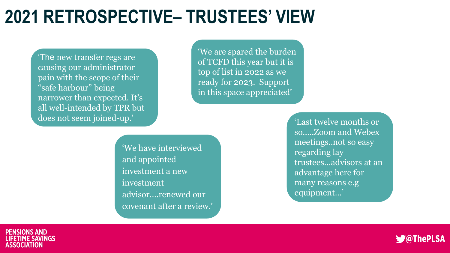## **2021 RETROSPECTIVE– TRUSTEES' VIEW**

'The new transfer regs are causing our administrator pain with the scope of their "safe harbour" being narrower than expected. It's all well-intended by TPR but does not seem joined-up.'

'We are spared the burden of TCFD this year but it is top of list in 2022 as we ready for 2023. Support in this space appreciated'

'We have interviewed and appointed investment a new investment advisor….renewed our covenant after a review.'

'Last twelve months or so…..Zoom and Webex meetings..not so easy regarding lay trustees…advisors at an advantage here for many reasons e.g equipment…'



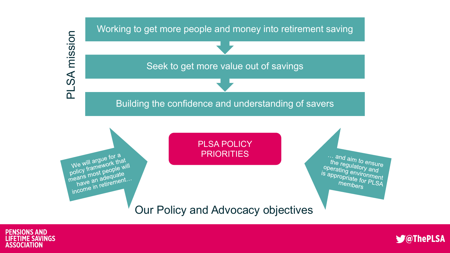





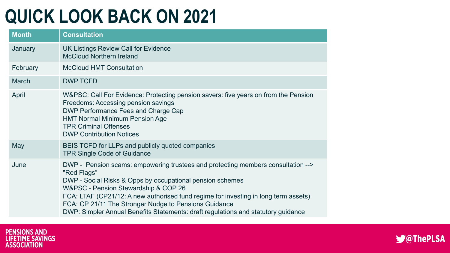# **QUICK LOOK BACK ON 2021**

| <b>Month</b> | <b>Consultation</b>                                                                                                                                                                                                                                                                                                                                                                                                                       |
|--------------|-------------------------------------------------------------------------------------------------------------------------------------------------------------------------------------------------------------------------------------------------------------------------------------------------------------------------------------------------------------------------------------------------------------------------------------------|
| January      | UK Listings Review Call for Evidence<br><b>McCloud Northern Ireland</b>                                                                                                                                                                                                                                                                                                                                                                   |
| February     | <b>McCloud HMT Consultation</b>                                                                                                                                                                                                                                                                                                                                                                                                           |
| <b>March</b> | <b>DWP TCFD</b>                                                                                                                                                                                                                                                                                                                                                                                                                           |
| April        | W&PSC: Call For Evidence: Protecting pension savers: five years on from the Pension<br>Freedoms: Accessing pension savings<br><b>DWP Performance Fees and Charge Cap</b><br><b>HMT Normal Minimum Pension Age</b><br><b>TPR Criminal Offenses</b><br><b>DWP Contribution Notices</b>                                                                                                                                                      |
| May          | BEIS TCFD for LLPs and publicly quoted companies<br><b>TPR Single Code of Guidance</b>                                                                                                                                                                                                                                                                                                                                                    |
| June         | DWP - Pension scams: empowering trustees and protecting members consultation --><br>"Red Flags"<br>DWP - Social Risks & Opps by occupational pension schemes<br>W&PSC - Pension Stewardship & COP 26<br>FCA: LTAF (CP21/12: A new authorised fund regime for investing in long term assets)<br>FCA: CP 21/11 The Stronger Nudge to Pensions Guidance<br>DWP: Simpler Annual Benefits Statements: draft regulations and statutory guidance |



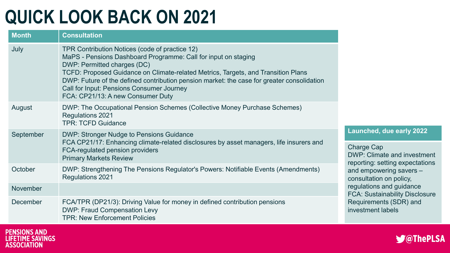# **QUICK LOOK BACK ON 2021**

| <b>Month</b>    | <b>Consultation</b>                                                                                                                                                                                                                                                                                                                                                                                                         |
|-----------------|-----------------------------------------------------------------------------------------------------------------------------------------------------------------------------------------------------------------------------------------------------------------------------------------------------------------------------------------------------------------------------------------------------------------------------|
| July            | TPR Contribution Notices (code of practice 12)<br>MaPS - Pensions Dashboard Programme: Call for input on staging<br>DWP: Permitted charges (DC)<br>TCFD: Proposed Guidance on Climate-related Metrics, Targets, and Transition Plans<br>DWP: Future of the defined contribution pension market: the case for greater consolidation<br><b>Call for Input: Pensions Consumer Journey</b><br>FCA: CP21/13: A new Consumer Duty |
| August          | DWP: The Occupational Pension Schemes (Collective Money Purchase Schemes)<br><b>Regulations 2021</b><br><b>TPR: TCFD Guidance</b>                                                                                                                                                                                                                                                                                           |
| September       | <b>DWP: Stronger Nudge to Pensions Guidance</b><br>FCA CP21/17: Enhancing climate-related disclosures by asset managers, life insurers and<br><b>FCA-regulated pension providers</b><br><b>Primary Markets Review</b>                                                                                                                                                                                                       |
| October         | DWP: Strengthening The Pensions Regulator's Powers: Notifiable Events (Amendments)<br><b>Regulations 2021</b>                                                                                                                                                                                                                                                                                                               |
| <b>November</b> |                                                                                                                                                                                                                                                                                                                                                                                                                             |
| <b>December</b> | FCA/TPR (DP21/3): Driving Value for money in defined contribution pensions<br><b>DWP: Fraud Compensation Levy</b><br><b>TPR: New Enforcement Policies</b>                                                                                                                                                                                                                                                                   |





**Launched, due early 2022**

DWP: Climate and investment reporting: setting expectations

FCA: Sustainability Disclosure

and empowering savers –

Requirements (SDR) and

consultation on policy, regulations and guidance

investment labels

Charge Cap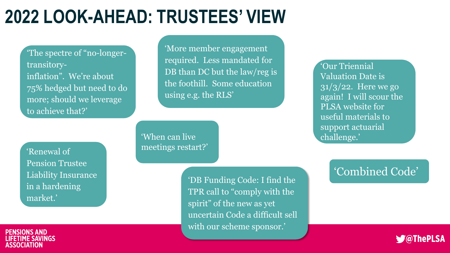# **2022 LOOK-AHEAD: TRUSTEES' VIEW**

'The spectre of "no-longertransitoryinflation". We're about 75% hedged but need to do more; should we leverage to achieve that?'

'More member engagement required. Less mandated for DB than DC but the law/reg is the foothill. Some education using e.g. the RLS'

'Our Triennial Valuation Date is 31/3/22. Here we go again! I will scour the PLSA website for useful materials to support actuarial challenge.'

'Renewal of Pension Trustee Liability Insurance in a hardening market.'

'When can live meetings restart?'

> 'DB Funding Code: I find the TPR call to "comply with the spirit" of the new as yet uncertain Code a difficult sell with our scheme sponsor.'

#### 'Combined Code'



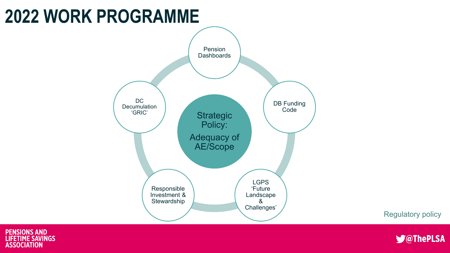## **2022 WORK PROGRAMME**







Regulatory policy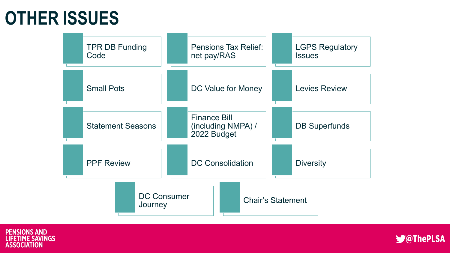### **OTHER ISSUES**